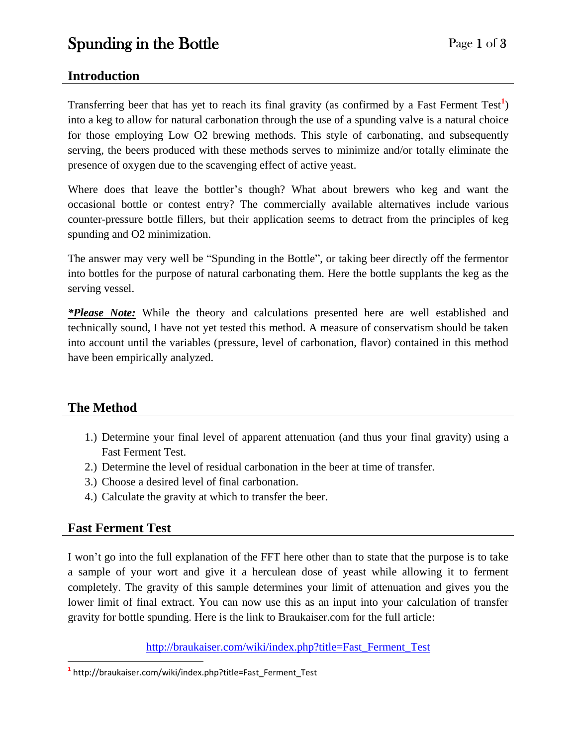#### **Introduction**

Transferring beer that has yet to reach its final gravity (as confirmed by a Fast Ferment Test<sup>1</sup>) into a keg to allow for natural carbonation through the use of a spunding valve is a natural choice for those employing Low O2 brewing methods. This style of carbonating, and subsequently serving, the beers produced with these methods serves to minimize and/or totally eliminate the presence of oxygen due to the scavenging effect of active yeast.

Where does that leave the bottler's though? What about brewers who keg and want the occasional bottle or contest entry? The commercially available alternatives include various counter-pressure bottle fillers, but their application seems to detract from the principles of keg spunding and O2 minimization.

The answer may very well be "Spunding in the Bottle", or taking beer directly off the fermentor into bottles for the purpose of natural carbonating them. Here the bottle supplants the keg as the serving vessel.

*\*Please Note:* While the theory and calculations presented here are well established and technically sound, I have not yet tested this method. A measure of conservatism should be taken into account until the variables (pressure, level of carbonation, flavor) contained in this method have been empirically analyzed.

# **The Method**

- 1.) Determine your final level of apparent attenuation (and thus your final gravity) using a Fast Ferment Test.
- 2.) Determine the level of residual carbonation in the beer at time of transfer.
- 3.) Choose a desired level of final carbonation.
- 4.) Calculate the gravity at which to transfer the beer.

# **Fast Ferment Test**

I won't go into the full explanation of the FFT here other than to state that the purpose is to take a sample of your wort and give it a herculean dose of yeast while allowing it to ferment completely. The gravity of this sample determines your limit of attenuation and gives you the lower limit of final extract. You can now use this as an input into your calculation of transfer gravity for bottle spunding. Here is the link to Braukaiser.com for the full article:

[http://braukaiser.com/wiki/index.php?title=Fast\\_Ferment\\_Test](http://braukaiser.com/wiki/index.php?title=Fast_Ferment_Test)

 $\overline{a}$ **1** http://braukaiser.com/wiki/index.php?title=Fast\_Ferment\_Test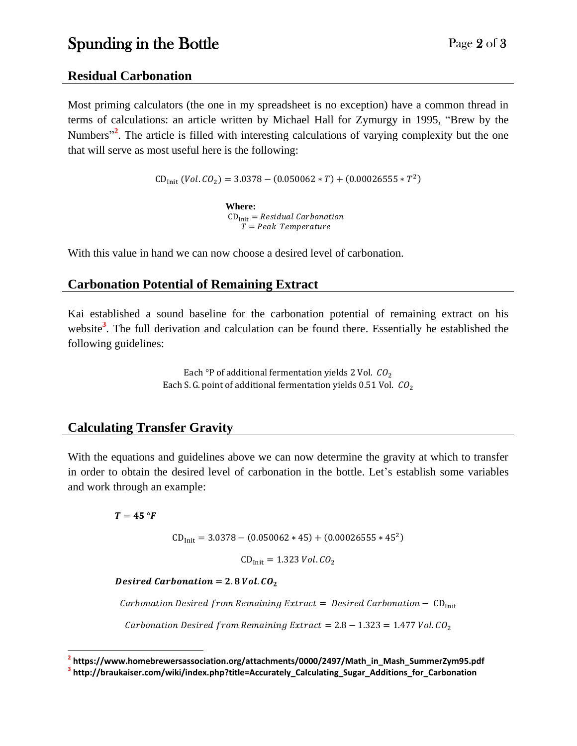# Spunding in the Bottle Page 2 of 3

#### **Residual Carbonation**

Most priming calculators (the one in my spreadsheet is no exception) have a common thread in terms of calculations: an article written by Michael Hall for Zymurgy in 1995, "Brew by the Numbers<sup>32</sup>. The article is filled with interesting calculations of varying complexity but the one that will serve as most useful here is the following:

 $CD_{Init}$  (Vol.  $CO_2$ ) = 3.0378 – (0.050062 \* T) + (0.00026555 \* T<sup>2</sup>)

**Where:**  $CD<sub>Init</sub> = Residual Carbonation$  $T = Peak$  Temperature

With this value in hand we can now choose a desired level of carbonation.

#### **Carbonation Potential of Remaining Extract**

Kai established a sound baseline for the carbonation potential of remaining extract on his website**<sup>3</sup>** . The full derivation and calculation can be found there. Essentially he established the following guidelines:

> Each °P of additional fermentation yields 2 Vol.  $CO<sub>2</sub>$ Each S. G. point of additional fermentation yields 0.51 Vol.  $CO<sub>2</sub>$

# **Calculating Transfer Gravity**

With the equations and guidelines above we can now determine the gravity at which to transfer in order to obtain the desired level of carbonation in the bottle. Let's establish some variables and work through an example:

 $T = 45 °F$ 

 $CD_{Init} = 3.0378 - (0.050062 * 45) + (0.00026555 * 45<sup>2</sup>)$ 

 $CD_{\text{Init}} = 1.323 \text{ Vol. } CO_2$ 

Desired Carbonation =  $2.8$  Vol.  $CO<sub>2</sub>$ 

Carbonation Desired from Remaining Extract = Desired Carbonation -  $CD_{Init}$ 

Carbonation Desired from Remaining Extract =  $2.8 - 1.323 = 1.477$  Vol. CO<sub>2</sub>

**<sup>2</sup> https://www.homebrewersassociation.org/attachments/0000/2497/Math\_in\_Mash\_SummerZym95.pdf** 

**<sup>3</sup> http://braukaiser.com/wiki/index.php?title=Accurately\_Calculating\_Sugar\_Additions\_for\_Carbonation**